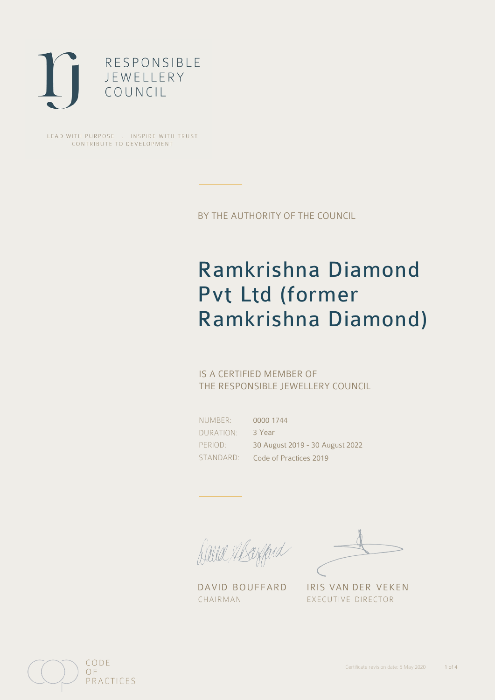

LEAD WITH PURPOSE . INSPIRE WITH TRUST CONTRIBUTE TO DEVELOPMENT

BY THE AUTHORITY OF THE COUNCIL

## Ramkrishna Diamond Pvt Ltd (former Ramkrishna Diamond)

### IS A CERTIFIED MEMBER OF THE RESPONSIBLE JEWELLERY COUNCIL

NUMBER: DURATION: PERIOD: STANDARD:

0000 1744 3 Year 30 August 2019 - 30 August 2022 Code of Practices 2019

Sauce Mayfard

CHAIRMAN EXECUTIVE DIRECTOR

DAVID BOUFFARD IRIS VAN DER VEKEN

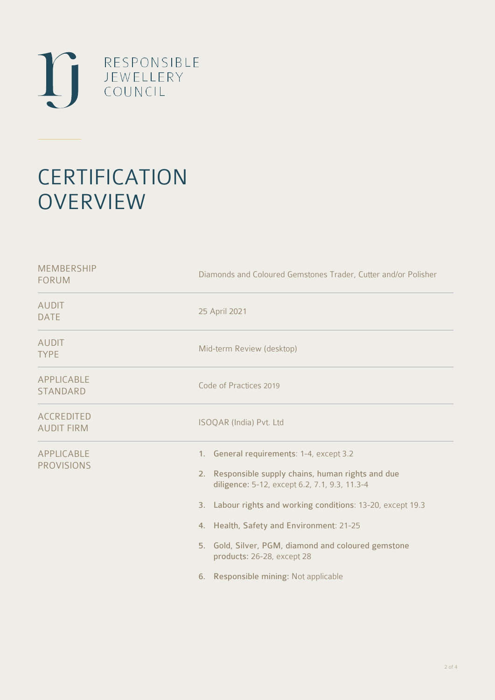

# **CERTIFICATION OVERVIEW**

| <b>MEMBERSHIP</b><br><b>FORUM</b>      | Diamonds and Coloured Gemstones Trader, Cutter and/or Polisher                                                                                                                                                                                                                                                                                                                           |
|----------------------------------------|------------------------------------------------------------------------------------------------------------------------------------------------------------------------------------------------------------------------------------------------------------------------------------------------------------------------------------------------------------------------------------------|
| <b>AUDIT</b><br><b>DATE</b>            | 25 April 2021                                                                                                                                                                                                                                                                                                                                                                            |
| <b>AUDIT</b><br><b>TYPE</b>            | Mid-term Review (desktop)                                                                                                                                                                                                                                                                                                                                                                |
| APPLICABLE<br><b>STANDARD</b>          | Code of Practices 2019                                                                                                                                                                                                                                                                                                                                                                   |
| <b>ACCREDITED</b><br><b>AUDIT FIRM</b> | ISOQAR (India) Pvt. Ltd                                                                                                                                                                                                                                                                                                                                                                  |
| APPLICABLE<br><b>PROVISIONS</b>        | 1. General requirements: 1-4, except 3.2<br>2. Responsible supply chains, human rights and due<br>diligence: 5-12, except 6.2, 7.1, 9.3, 11.3-4<br>3. Labour rights and working conditions: 13-20, except 19.3<br>4. Health, Safety and Environment: 21-25<br>5. Gold, Silver, PGM, diamond and coloured gemstone<br>products: 26-28, except 28<br>6. Responsible mining: Not applicable |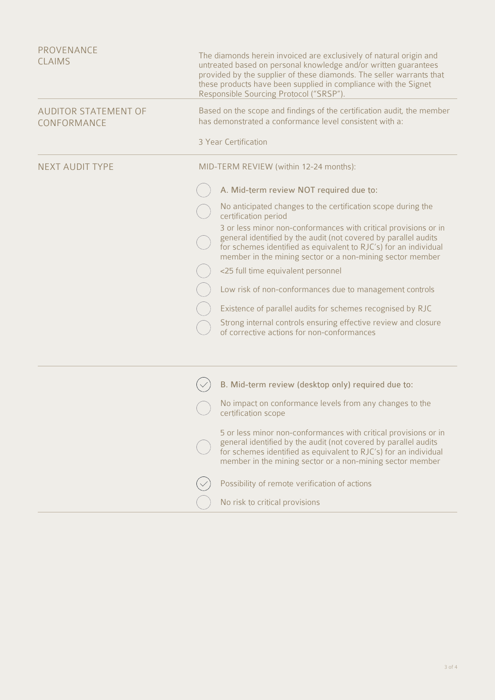| <b>PROVENANCE</b><br><b>CLAIMS</b>         | The diamonds herein invoiced are exclusively of natural origin and<br>untreated based on personal knowledge and/or written guarantees<br>provided by the supplier of these diamonds. The seller warrants that<br>these products have been supplied in compliance with the Signet<br>Responsible Sourcing Protocol ("SRSP"). |
|--------------------------------------------|-----------------------------------------------------------------------------------------------------------------------------------------------------------------------------------------------------------------------------------------------------------------------------------------------------------------------------|
| <b>AUDITOR STATEMENT OF</b><br>CONFORMANCE | Based on the scope and findings of the certification audit, the member<br>has demonstrated a conformance level consistent with a:                                                                                                                                                                                           |
|                                            | 3 Year Certification                                                                                                                                                                                                                                                                                                        |
| <b>NEXT AUDIT TYPE</b>                     | MID-TERM REVIEW (within 12-24 months):                                                                                                                                                                                                                                                                                      |
|                                            | A. Mid-term review NOT required due to:                                                                                                                                                                                                                                                                                     |
|                                            | No anticipated changes to the certification scope during the<br>certification period                                                                                                                                                                                                                                        |
|                                            | 3 or less minor non-conformances with critical provisions or in<br>general identified by the audit (not covered by parallel audits<br>for schemes identified as equivalent to RJC's) for an individual<br>member in the mining sector or a non-mining sector member                                                         |
|                                            | <25 full time equivalent personnel                                                                                                                                                                                                                                                                                          |
|                                            | Low risk of non-conformances due to management controls                                                                                                                                                                                                                                                                     |
|                                            | Existence of parallel audits for schemes recognised by RJC                                                                                                                                                                                                                                                                  |
|                                            | Strong internal controls ensuring effective review and closure<br>of corrective actions for non-conformances                                                                                                                                                                                                                |
|                                            |                                                                                                                                                                                                                                                                                                                             |
|                                            | B. Mid-term review (desktop only) required due to:                                                                                                                                                                                                                                                                          |
|                                            | No impact on conformance levels from any changes to the<br>certification scope                                                                                                                                                                                                                                              |
|                                            | 5 or less minor non-conformances with critical provisions or in<br>general identified by the audit (not covered by parallel audits<br>for schemes identified as equivalent to RJC's) for an individual<br>member in the mining sector or a non-mining sector member                                                         |
|                                            | Possibility of remote verification of actions                                                                                                                                                                                                                                                                               |
|                                            | No risk to critical provisions                                                                                                                                                                                                                                                                                              |